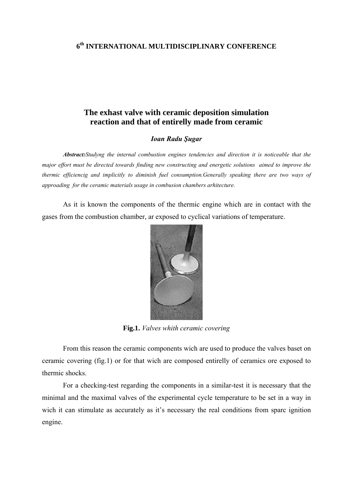## **6th INTERNATIONAL MULTIDISCIPLINARY CONFERENCE**

## **The exhast valve with ceramic deposition simulation reaction and that of entirelly made from ceramic**

## *Ioan Radu Şugar*

*Abstract:Studyng the internal combustion engines tendencies and direction it is noticeable that the major effort must be directed towards finding new constructing and energetic solutions aimed to improve the thermic efficiencig and implicitly to diminish fuel consumption.Generally speaking there are two ways of approading for the ceramic materials usage in combusion chambers arhitecture.*

 As it is known the components of the thermic engine which are in contact with the gases from the combustion chamber, ar exposed to cyclical variations of temperature.



**Fig.1.** *Valves whith ceramic covering* 

 From this reason the ceramic components wich are used to produce the valves baset on ceramic covering (fig.1) or for that wich are composed entirelly of ceramics ore exposed to thermic shocks.

 For a checking-test regarding the components in a similar-test it is necessary that the minimal and the maximal valves of the experimental cycle temperature to be set in a way in wich it can stimulate as accurately as it's necessary the real conditions from sparc ignition engine.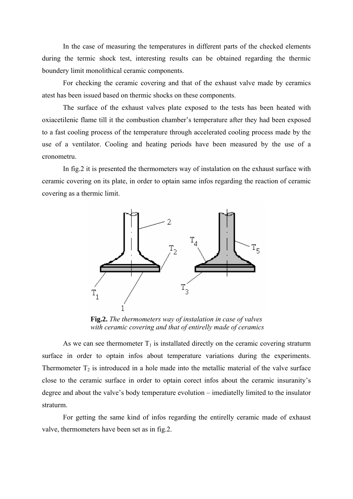In the case of measuring the temperatures in different parts of the checked elements during the termic shock test, interesting results can be obtained regarding the thermic boundery limit monolithical ceramic components.

 For checking the ceramic covering and that of the exhaust valve made by ceramics atest has been issued based on thermic shocks on these components.

The surface of the exhaust valves plate exposed to the tests has been heated with oxiacetilenic flame till it the combustion chamber's temperature after they had been exposed to a fast cooling process of the temperature through accelerated cooling process made by the use of a ventilator. Cooling and heating periods have been measured by the use of a cronometru.

 In fig.2 it is presented the thermometers way of instalation on the exhaust surface with ceramic covering on its plate, in order to optain same infos regarding the reaction of ceramic covering as a thermic limit.



**Fig.2.** *The thermometers way of instalation in case of valves with ceramic covering and that of entirelly made of ceramics* 

As we can see thermometer  $T_1$  is installated directly on the ceramic covering straturm surface in order to optain infos about temperature variations during the experiments. Thermometer  $T_2$  is introduced in a hole made into the metallic material of the valve surface close to the ceramic surface in order to optain corect infos about the ceramic insuranity's degree and about the valve's body temperature evolution – imediatelly limited to the insulator straturm.

 For getting the same kind of infos regarding the entirelly ceramic made of exhaust valve, thermometers have been set as in fig.2.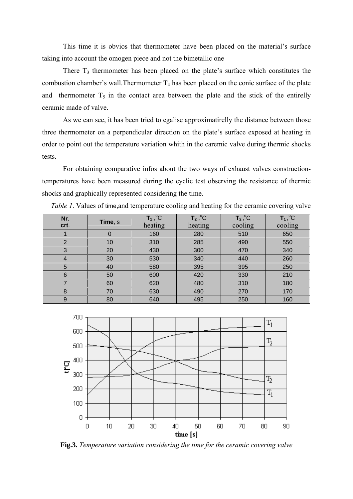This time it is obvios that thermometer have been placed on the material's surface taking into account the omogen piece and not the bimetallic one

There  $T_3$  thermometer has been placed on the plate's surface which constitutes the combustion chamber's wall. Thermometer  $T_4$  has been placed on the conic surface of the plate and thermometer  $T_5$  in the contact area between the plate and the stick of the entirelly ceramic made of valve.

As we can see, it has been tried to egalise approximatirelly the distance between those three thermometer on a perpendicular direction on the plate's surface exposed at heating in order to point out the temperature variation whith in the caremic valve during thermic shocks tests.

 For obtaining comparative infos about the two ways of exhaust valves constructiontemperatures have been measured during the cyclic test observing the resistance of thermic shocks and graphically represented considering the time.

| Nr.<br>crt.    | Time, s | $T_1$ , $^{\circ}C$<br>heating | $T_2,^{\circ}C$<br>heating | $T_2,^{\circ}C$<br>cooling | $T_1$ , <sup>o</sup> C<br>cooling |
|----------------|---------|--------------------------------|----------------------------|----------------------------|-----------------------------------|
|                |         | 160                            | 280                        | 510                        | 650                               |
| $\overline{2}$ | 10      | 310                            | 285                        | 490                        | 550                               |
| 3              | 20      | 430                            | 300                        | 470                        | 340                               |
| $\overline{4}$ | 30      | 530                            | 340                        | 440                        | 260                               |
| 5              | 40      | 580                            | 395                        | 395                        | 250                               |
| $6\phantom{1}$ | 50      | 600                            | 420                        | 330                        | 210                               |
| 7              | 60      | 620                            | 480                        | 310                        | 180                               |
| 8              | 70      | 630                            | 490                        | 270                        | 170                               |
| 9              | 80      | 640                            | 495                        | 250                        | 160                               |

*Table 1*. Values of time, and temperature cooling and heating for the ceramic covering valve



**Fig.3.** *Temperature variation considering the time for the ceramic covering valve*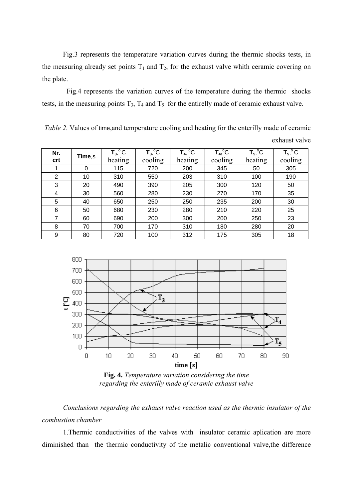Fig.3 represents the temperature variation curves during the thermic shocks tests, in the measuring already set points  $T_1$  and  $T_2$ , for the exhaust valve whith ceramic covering on the plate.

 Fig.4 represents the variation curves of the temperature during the thermic shocks tests, in the measuring points  $T_3$ ,  $T_4$  and  $T_5$  for the entirelly made of ceramic exhaust valve.

*Table 2.* Values of time, and temperature cooling and heating for the enterilly made of ceramic

exhaust valve

| Nr.<br>crt     | Time,s | $T_3$ , $^{\circ}$ C<br>heating | $T_3$ , ${}^{\circ}C$<br>cooling | $T_4$ , °C<br>heating | $T_4$ , $^{\circ}$ C<br>cooling | $T_5$ , $^{\circ}$ C<br>heating | $T_5$ , $^{\circ}$ C<br>cooling |
|----------------|--------|---------------------------------|----------------------------------|-----------------------|---------------------------------|---------------------------------|---------------------------------|
|                | 0      | 115                             | 720                              | 200                   | 345                             | 50                              | 305                             |
| $\overline{2}$ | 10     | 310                             | 550                              | 203                   | 310                             | 100                             | 190                             |
| 3              | 20     | 490                             | 390                              | 205                   | 300                             | 120                             | 50                              |
| 4              | 30     | 560                             | 280                              | 230                   | 270                             | 170                             | 35                              |
| 5              | 40     | 650                             | 250                              | 250                   | 235                             | 200                             | 30                              |
| 6              | 50     | 680                             | 230                              | 280                   | 210                             | 220                             | 25                              |
| 7              | 60     | 690                             | 200                              | 300                   | 200                             | 250                             | 23                              |
| 8              | 70     | 700                             | 170                              | 310                   | 180                             | 280                             | 20                              |
| 9              | 80     | 720                             | 100                              | 312                   | 175                             | 305                             | 18                              |



**Fig. 4.** *Temperature variation considering the time regarding the enterilly made of ceramic exhaust valve* 

*Conclusions regarding the exhaust valve reaction used as the thermic insulator of the combustion chamber* 

1.Thermic conductivities of the valves with insulator ceramic aplication are more diminished than the thermic conductivity of the metalic conventional valve,the difference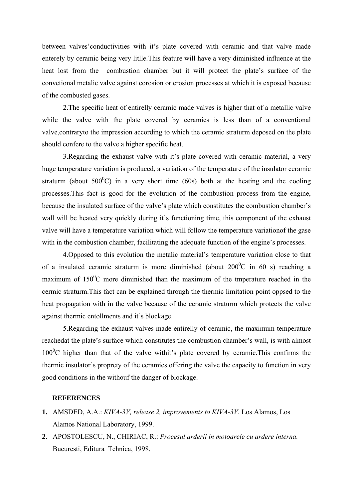between valves'conductivities with it's plate covered with ceramic and that valve made enterely by ceramic being very litlle.This feature will have a very diminished influence at the heat lost from the combustion chamber but it will protect the plate's surface of the convetional metalic valve against corosion or erosion processes at which it is exposed because of the combusted gases.

 2.The specific heat of entirelly ceramic made valves is higher that of a metallic valve while the valve with the plate covered by ceramics is less than of a conventional valve,contraryto the impression according to which the ceramic straturm deposed on the plate should confere to the valve a higher specific heat.

 3.Regarding the exhaust valve with it's plate covered with ceramic material, a very huge temperature variation is produced, a variation of the temperature of the insulator ceramic straturm (about  $500^{\circ}$ C) in a very short time (60s) both at the heating and the cooling processes.This fact is good for the evolution of the combustion process from the engine, because the insulated surface of the valve's plate which constitutes the combustion chamber's wall will be heated very quickly during it's functioning time, this component of the exhaust valve will have a temperature variation which will follow the temperature variationof the gase with in the combustion chamber, facilitating the adequate function of the engine's processes.

 4.Opposed to this evolution the metalic material's temperature variation close to that of a insulated ceramic straturm is more diminished (about  $200^{\circ}$ C in 60 s) reaching a maximum of  $150^{\circ}$ C more diminished than the maximum of the tmperature reached in the cermic straturm.This fact can be explained through the thermic limitation point oppsed to the heat propagation with in the valve because of the ceramic straturm which protects the valve against thermic entollments and it's blockage.

5.Regarding the exhaust valves made entirelly of ceramic, the maximum temperature reachedat the plate's surface which constitutes the combustion chamber's wall, is with almost  $100^{\circ}$ C higher than that of the valve withit's plate covered by ceramic. This confirms the thermic insulator's proprety of the ceramics offering the valve the capacity to function in very good conditions in the withouf the danger of blockage.

## **REFERENCES**

- **1.** AMSDED, A.A.: *KIVA-3V, release 2, improvements to KIVA-3V.* Los Alamos, Los Alamos National Laboratory, 1999.
- **2.** APOSTOLESCU, N., CHIRIAC, R.: *Procesul arderii in motoarele cu ardere interna.*  Bucuresti, Editura Tehnica, 1998.